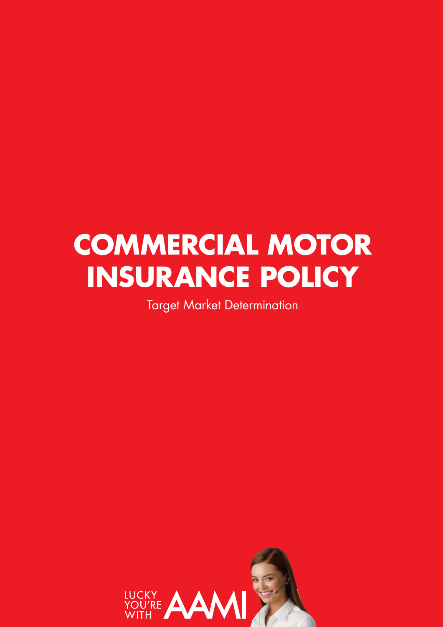# **COMMERCIAL MOTOR INSURANCE POLICY**

Target Market Determination

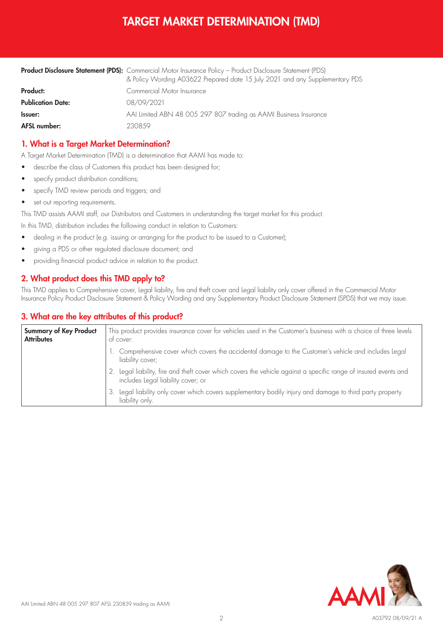# TARGET MARKET DETERMINATION (TMD)

|                          | Product Disclosure Statement (PDS): Commercial Motor Insurance Policy - Product Disclosure Statement (PDS)<br>& Policy Wording A03622 Prepared date 15 July 2021 and any Supplementary PDS |  |  |
|--------------------------|--------------------------------------------------------------------------------------------------------------------------------------------------------------------------------------------|--|--|
| Product:                 | Commercial Motor Insurance                                                                                                                                                                 |  |  |
| <b>Publication Date:</b> | 08/09/2021                                                                                                                                                                                 |  |  |
| <b>Issuer:</b>           | AAI Limited ABN 48 005 297 807 trading as AAMI Business Insurance                                                                                                                          |  |  |
| <b>AFSL number:</b>      | 2308.59                                                                                                                                                                                    |  |  |

## 1. What is a Target Market Determination?

A Target Market Determination (TMD) is a determination that AAMI has made to:

- describe the class of Customers this product has been designed for;
- specify product distribution conditions;
- specify TMD review periods and triggers; and
- set out reporting requirements.

This TMD assists AAMI staff, our Distributors and Customers in understanding the target market for this product.

In this TMD, distribution includes the following conduct in relation to Customers:

- dealing in the product (e.g. issuing or arranging for the product to be issued to a Customer);
- giving a PDS or other regulated disclosure document; and
- providing financial product advice in relation to the product.

## 2. What product does this TMD apply to?

This TMD applies to Comprehensive cover, Legal liability, fire and theft cover and Legal liability only cover offered in the Commercial Motor Insurance Policy Product Disclosure Statement & Policy Wording and any Supplementary Product Disclosure Statement (SPDS) that we may issue.

#### 3. What are the key attributes of this product?

| <b>Summary of Key Product</b><br><b>Attributes</b> | This product provides insurance cover for vehicles used in the Customer's business with a choice of three levels<br>ot cover:                       |  |  |
|----------------------------------------------------|-----------------------------------------------------------------------------------------------------------------------------------------------------|--|--|
|                                                    | 1. Comprehensive cover which covers the accidental damage to the Customer's vehicle and includes Legal<br>liability cover;                          |  |  |
|                                                    | Legal liability, fire and theft cover which covers the vehicle against a specific range of insured events and<br>includes Legal liability cover; or |  |  |
|                                                    | Legal liability only cover which covers supplementary bodily injury and damage to third party property<br>3.<br>liability only.                     |  |  |

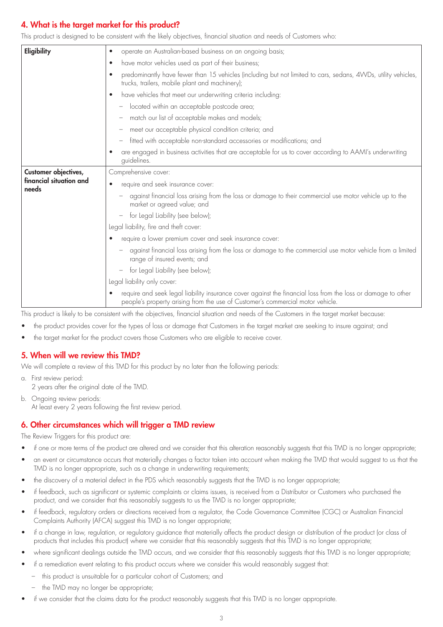# 4. What is the target market for this product?

This product is designed to be consistent with the likely objectives, financial situation and needs of Customers who:

| Eligibility                                              | operate an Australian-based business on an ongoing basis;<br>$\bullet$                                                                                                                         |  |  |
|----------------------------------------------------------|------------------------------------------------------------------------------------------------------------------------------------------------------------------------------------------------|--|--|
|                                                          | have motor vehicles used as part of their business;<br>٠                                                                                                                                       |  |  |
|                                                          | predominantly have fewer than 15 vehicles (including but not limited to cars, sedans, 4WDs, utility vehicles,<br>$\bullet$<br>trucks, trailers, mobile plant and machinery);                   |  |  |
|                                                          | have vehicles that meet our underwriting criteria including:<br>$\bullet$                                                                                                                      |  |  |
|                                                          | located within an acceptable postcode area;                                                                                                                                                    |  |  |
|                                                          | match our list of acceptable makes and models;                                                                                                                                                 |  |  |
|                                                          | meet our acceptable physical condition criteria; and                                                                                                                                           |  |  |
|                                                          | fitted with acceptable non-standard accessories or modifications; and                                                                                                                          |  |  |
|                                                          | are engaged in business activities that are acceptable for us to cover according to AAMI's underwriting<br>guidelines.                                                                         |  |  |
| Customer objectives,<br>financial situation and<br>needs | Comprehensive cover:                                                                                                                                                                           |  |  |
|                                                          | require and seek insurance cover:                                                                                                                                                              |  |  |
|                                                          | against financial loss arising from the loss or damage to their commercial use motor vehicle up to the<br>market or agreed value; and                                                          |  |  |
|                                                          | for Legal Liability (see below);<br>$\hspace{0.1mm}-\hspace{0.1mm}$                                                                                                                            |  |  |
|                                                          | Legal liability, fire and theft cover:                                                                                                                                                         |  |  |
|                                                          | require a lower premium cover and seek insurance cover:                                                                                                                                        |  |  |
|                                                          | against financial loss arising from the loss or damage to the commercial use motor vehicle from a limited<br>range of insured events; and                                                      |  |  |
|                                                          | for Legal Liability (see below);                                                                                                                                                               |  |  |
|                                                          | Legal liability only cover:                                                                                                                                                                    |  |  |
|                                                          | require and seek legal liability insurance cover against the financial loss from the loss or damage to other<br>people's property arising from the use of Customer's commercial motor vehicle. |  |  |

This product is likely to be consistent with the objectives, financial situation and needs of the Customers in the target market because:

- the product provides cover for the types of loss or damage that Customers in the target market are seeking to insure against; and
- the target market for the product covers those Customers who are eligible to receive cover.

#### 5. When will we review this TMD?

We will complete a review of this TMD for this product by no later than the following periods:

- a. First review period: 2 years after the original date of the TMD.
- b. Ongoing review periods: At least every 2 years following the first review period.

#### 6. Other circumstances which will trigger a TMD review

The Review Triggers for this product are:

- if one or more terms of the product are altered and we consider that this alteration reasonably suggests that this TMD is no longer appropriate;
- an event or circumstance occurs that materially changes a factor taken into account when making the TMD that would suggest to us that the TMD is no longer appropriate, such as a change in underwriting requirements;
- the discovery of a material defect in the PDS which reasonably suggests that the TMD is no longer appropriate;
- if feedback, such as significant or systemic complaints or claims issues, is received from a Distributor or Customers who purchased the product, and we consider that this reasonably suggests to us the TMD is no longer appropriate;
- if feedback, regulatory orders or directions received from a regulator, the Code Governance Committee (CGC) or Australian Financial Complaints Authority (AFCA) suggest this TMD is no longer appropriate;
- if a change in law, regulation, or regulatory guidance that materially affects the product design or distribution of the product (or class of products that includes this product) where we consider that this reasonably suggests that this TMD is no longer appropriate;
- where significant dealings outside the TMD occurs, and we consider that this reasonably suggests that this TMD is no longer appropriate;
- if a remediation event relating to this product occurs where we consider this would reasonably suggest that:
	- this product is unsuitable for a particular cohort of Customers; and
	- the TMD may no longer be appropriate;
- if we consider that the claims data for the product reasonably suggests that this TMD is no longer appropriate.